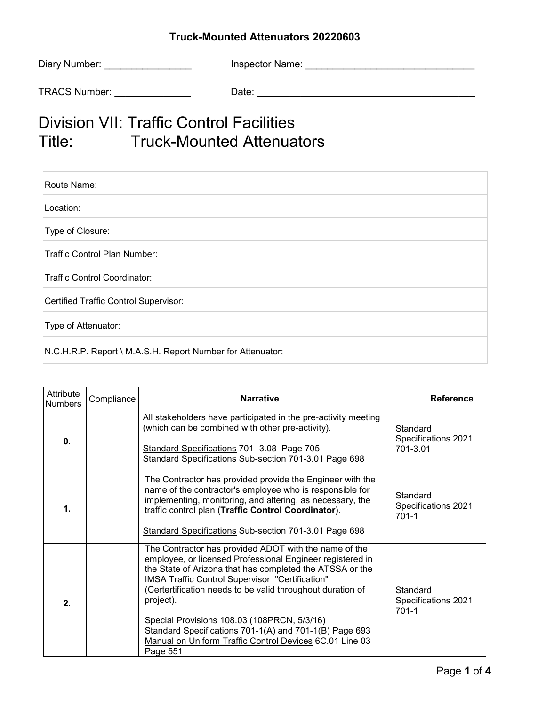## **Truck-Mounted Attenuators 20220603**

| Diary Number:        | <b>Inspector Name:</b> |
|----------------------|------------------------|
|                      |                        |
| <b>TRACS Number:</b> | Date:                  |

## Division VII: Traffic Control Facilities Title: Truck-Mounted Attenuators

| Route Name:                                                |
|------------------------------------------------------------|
| Location:                                                  |
| Type of Closure:                                           |
| Traffic Control Plan Number:                               |
| Traffic Control Coordinator:                               |
| Certified Traffic Control Supervisor:                      |
| Type of Attenuator:                                        |
| N.C.H.R.P. Report \ M.A.S.H. Report Number for Attenuator: |

| Attribute<br><b>Numbers</b> | Compliance | <b>Narrative</b>                                                                                                                                                                                                                                                                                                                                                                                                                                                                             | <b>Reference</b>                             |
|-----------------------------|------------|----------------------------------------------------------------------------------------------------------------------------------------------------------------------------------------------------------------------------------------------------------------------------------------------------------------------------------------------------------------------------------------------------------------------------------------------------------------------------------------------|----------------------------------------------|
| 0.                          |            | All stakeholders have participated in the pre-activity meeting<br>(which can be combined with other pre-activity).<br>Standard Specifications 701-3.08 Page 705<br>Standard Specifications Sub-section 701-3.01 Page 698                                                                                                                                                                                                                                                                     | Standard<br>Specifications 2021<br>701-3.01  |
| 1.                          |            | The Contractor has provided provide the Engineer with the<br>name of the contractor's employee who is responsible for<br>implementing, monitoring, and altering, as necessary, the<br>traffic control plan (Traffic Control Coordinator).<br>Standard Specifications Sub-section 701-3.01 Page 698                                                                                                                                                                                           | Standard<br>Specifications 2021<br>$701 - 1$ |
| 2.                          |            | The Contractor has provided ADOT with the name of the<br>employee, or licensed Professional Engineer registered in<br>the State of Arizona that has completed the ATSSA or the<br>IMSA Traffic Control Supervisor "Certification"<br>(Certertification needs to be valid throughout duration of<br>project).<br>Special Provisions 108.03 (108PRCN, 5/3/16)<br>Standard Specifications 701-1(A) and 701-1(B) Page 693<br>Manual on Uniform Traffic Control Devices 6C.01 Line 03<br>Page 551 | Standard<br>Specifications 2021<br>$701 - 1$ |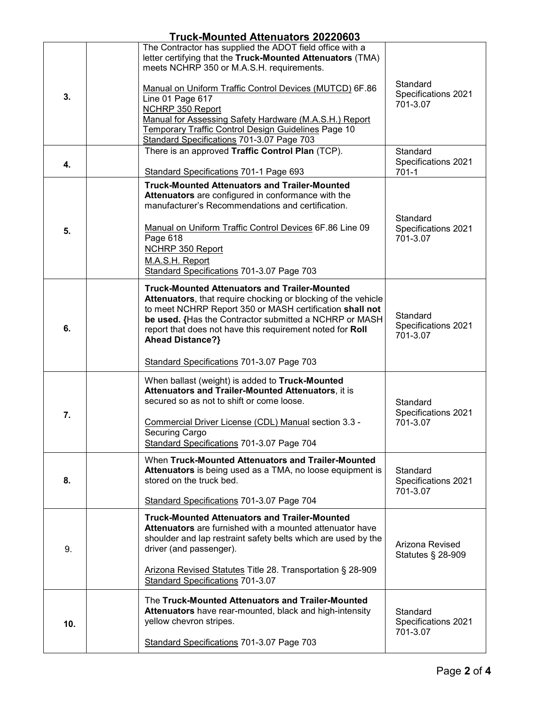| Truck-Mounted Attenuators 20220603 |                                                                                                                                                                                                                                                                                                                                                                                  |                                             |  |
|------------------------------------|----------------------------------------------------------------------------------------------------------------------------------------------------------------------------------------------------------------------------------------------------------------------------------------------------------------------------------------------------------------------------------|---------------------------------------------|--|
|                                    | The Contractor has supplied the ADOT field office with a<br>letter certifying that the Truck-Mounted Attenuators (TMA)<br>meets NCHRP 350 or M.A.S.H. requirements.                                                                                                                                                                                                              |                                             |  |
| 3.                                 | Manual on Uniform Traffic Control Devices (MUTCD) 6F.86<br>Line 01 Page 617<br>NCHRP 350 Report<br>Manual for Assessing Safety Hardware (M.A.S.H.) Report<br>Temporary Traffic Control Design Guidelines Page 10<br>Standard Specifications 701-3.07 Page 703                                                                                                                    | Standard<br>Specifications 2021<br>701-3.07 |  |
| 4.                                 | There is an approved Traffic Control Plan (TCP).<br>Standard Specifications 701-1 Page 693                                                                                                                                                                                                                                                                                       | Standard<br>Specifications 2021<br>701-1    |  |
|                                    |                                                                                                                                                                                                                                                                                                                                                                                  |                                             |  |
|                                    | <b>Truck-Mounted Attenuators and Trailer-Mounted</b><br>Attenuators are configured in conformance with the<br>manufacturer's Recommendations and certification.                                                                                                                                                                                                                  | Standard                                    |  |
| 5.                                 | Manual on Uniform Traffic Control Devices 6F.86 Line 09<br>Page 618<br><b>NCHRP 350 Report</b><br>M.A.S.H. Report<br>Standard Specifications 701-3.07 Page 703                                                                                                                                                                                                                   | Specifications 2021<br>701-3.07             |  |
| 6.                                 | <b>Truck-Mounted Attenuators and Trailer-Mounted</b><br>Attenuators, that require chocking or blocking of the vehicle<br>to meet NCHRP Report 350 or MASH certification shall not<br>be used. {Has the Contractor submitted a NCHRP or MASH<br>report that does not have this requirement noted for Roll<br><b>Ahead Distance?}</b><br>Standard Specifications 701-3.07 Page 703 | Standard<br>Specifications 2021<br>701-3.07 |  |
|                                    |                                                                                                                                                                                                                                                                                                                                                                                  |                                             |  |
| 7.                                 | When ballast (weight) is added to Truck-Mounted<br>Attenuators and Trailer-Mounted Attenuators, it is<br>secured so as not to shift or come loose.<br>Commercial Driver License (CDL) Manual section 3.3 -<br>Securing Cargo<br>Standard Specifications 701-3.07 Page 704                                                                                                        | Standard<br>Specifications 2021<br>701-3.07 |  |
| 8.                                 | When Truck-Mounted Attenuators and Trailer-Mounted<br>Attenuators is being used as a TMA, no loose equipment is<br>stored on the truck bed.<br>Standard Specifications 701-3.07 Page 704                                                                                                                                                                                         | Standard<br>Specifications 2021<br>701-3.07 |  |
| 9.                                 | <b>Truck-Mounted Attenuators and Trailer-Mounted</b><br><b>Attenuators</b> are furnished with a mounted attenuator have<br>shoulder and lap restraint safety belts which are used by the<br>driver (and passenger).<br>Arizona Revised Statutes Title 28. Transportation § 28-909<br>Standard Specifications 701-3.07                                                            | Arizona Revised<br>Statutes § 28-909        |  |
| 10.                                | The Truck-Mounted Attenuators and Trailer-Mounted<br>Attenuators have rear-mounted, black and high-intensity<br>yellow chevron stripes.<br>Standard Specifications 701-3.07 Page 703                                                                                                                                                                                             | Standard<br>Specifications 2021<br>701-3.07 |  |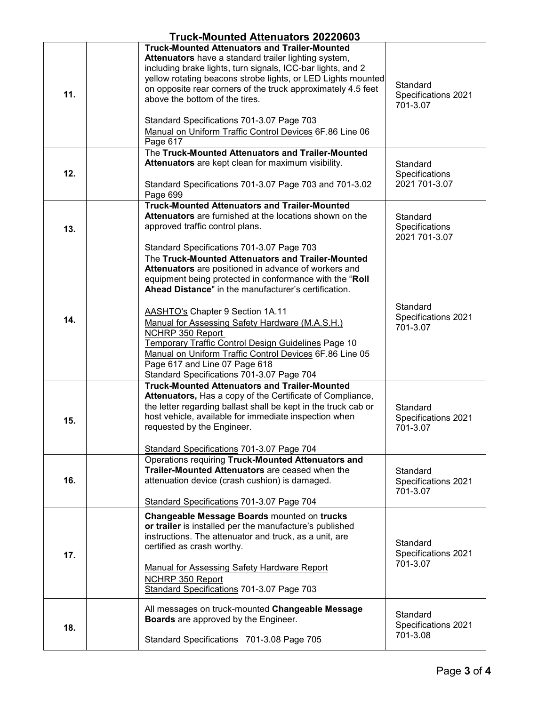| Truck-Mounted Attenuators 20220603 |                                                                                                                                                                                                                                                                                                                                                                                                                                                                                                                                                       |                                             |  |
|------------------------------------|-------------------------------------------------------------------------------------------------------------------------------------------------------------------------------------------------------------------------------------------------------------------------------------------------------------------------------------------------------------------------------------------------------------------------------------------------------------------------------------------------------------------------------------------------------|---------------------------------------------|--|
| 11.                                | <b>Truck-Mounted Attenuators and Trailer-Mounted</b><br>Attenuators have a standard trailer lighting system,<br>including brake lights, turn signals, ICC-bar lights, and 2<br>yellow rotating beacons strobe lights, or LED Lights mounted<br>on opposite rear corners of the truck approximately 4.5 feet<br>above the bottom of the tires.<br>Standard Specifications 701-3.07 Page 703<br>Manual on Uniform Traffic Control Devices 6F.86 Line 06<br>Page 617                                                                                     | Standard<br>Specifications 2021<br>701-3.07 |  |
| 12.                                | The Truck-Mounted Attenuators and Trailer-Mounted<br>Attenuators are kept clean for maximum visibility.<br>Standard Specifications 701-3.07 Page 703 and 701-3.02<br>Page 699                                                                                                                                                                                                                                                                                                                                                                         | Standard<br>Specifications<br>2021 701-3.07 |  |
| 13.                                | <b>Truck-Mounted Attenuators and Trailer-Mounted</b><br><b>Attenuators</b> are furnished at the locations shown on the<br>approved traffic control plans.<br>Standard Specifications 701-3.07 Page 703                                                                                                                                                                                                                                                                                                                                                | Standard<br>Specifications<br>2021 701-3.07 |  |
| 14.                                | The Truck-Mounted Attenuators and Trailer-Mounted<br>Attenuators are positioned in advance of workers and<br>equipment being protected in conformance with the "Roll<br>Ahead Distance" in the manufacturer's certification.<br><b>AASHTO's Chapter 9 Section 1A.11</b><br>Manual for Assessing Safety Hardware (M.A.S.H.)<br><b>NCHRP 350 Report</b><br>Temporary Traffic Control Design Guidelines Page 10<br>Manual on Uniform Traffic Control Devices 6F.86 Line 05<br>Page 617 and Line 07 Page 618<br>Standard Specifications 701-3.07 Page 704 | Standard<br>Specifications 2021<br>701-3.07 |  |
| 15.                                | <b>Truck-Mounted Attenuators and Trailer-Mounted</b><br>Attenuators, Has a copy of the Certificate of Compliance,<br>the letter regarding ballast shall be kept in the truck cab or<br>host vehicle, available for immediate inspection when<br>requested by the Engineer.<br>Standard Specifications 701-3.07 Page 704                                                                                                                                                                                                                               | Standard<br>Specifications 2021<br>701-3.07 |  |
| 16.                                | Operations requiring Truck-Mounted Attenuators and<br>Trailer-Mounted Attenuators are ceased when the<br>attenuation device (crash cushion) is damaged.<br>Standard Specifications 701-3.07 Page 704                                                                                                                                                                                                                                                                                                                                                  | Standard<br>Specifications 2021<br>701-3.07 |  |
| 17.                                | Changeable Message Boards mounted on trucks<br>or trailer is installed per the manufacture's published<br>instructions. The attenuator and truck, as a unit, are<br>certified as crash worthy.<br><b>Manual for Assessing Safety Hardware Report</b><br><b>NCHRP 350 Report</b><br>Standard Specifications 701-3.07 Page 703                                                                                                                                                                                                                          | Standard<br>Specifications 2021<br>701-3.07 |  |
| 18.                                | All messages on truck-mounted Changeable Message<br><b>Boards</b> are approved by the Engineer.<br>Standard Specifications 701-3.08 Page 705                                                                                                                                                                                                                                                                                                                                                                                                          | Standard<br>Specifications 2021<br>701-3.08 |  |